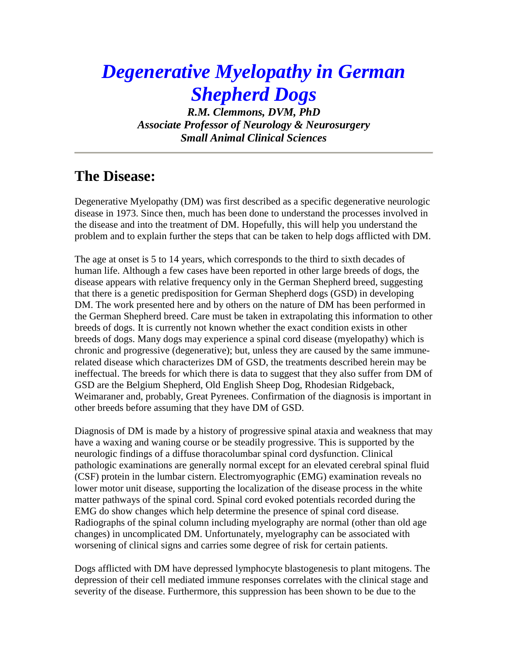# *Degenerative Myelopathy in German Shepherd Dogs*

*R.M. Clemmons, DVM, PhD Associate Professor of Neurology & Neurosurgery Small Animal Clinical Sciences*

# **The Disease:**

Degenerative Myelopathy (DM) was first described as a specific degenerative neurologic disease in 1973. Since then, much has been done to understand the processes involved in the disease and into the treatment of DM. Hopefully, this will help you understand the problem and to explain further the steps that can be taken to help dogs afflicted with DM.

The age at onset is 5 to 14 years, which corresponds to the third to sixth decades of human life. Although a few cases have been reported in other large breeds of dogs, the disease appears with relative frequency only in the German Shepherd breed, suggesting that there is a genetic predisposition for German Shepherd dogs (GSD) in developing DM. The work presented here and by others on the nature of DM has been performed in the German Shepherd breed. Care must be taken in extrapolating this information to other breeds of dogs. It is currently not known whether the exact condition exists in other breeds of dogs. Many dogs may experience a spinal cord disease (myelopathy) which is chronic and progressive (degenerative); but, unless they are caused by the same immunerelated disease which characterizes DM of GSD, the treatments described herein may be ineffectual. The breeds for which there is data to suggest that they also suffer from DM of GSD are the Belgium Shepherd, Old English Sheep Dog, Rhodesian Ridgeback, Weimaraner and, probably, Great Pyrenees. Confirmation of the diagnosis is important in other breeds before assuming that they have DM of GSD.

Diagnosis of DM is made by a history of progressive spinal ataxia and weakness that may have a waxing and waning course or be steadily progressive. This is supported by the neurologic findings of a diffuse thoracolumbar spinal cord dysfunction. Clinical pathologic examinations are generally normal except for an elevated cerebral spinal fluid (CSF) protein in the lumbar cistern. Electromyographic (EMG) examination reveals no lower motor unit disease, supporting the localization of the disease process in the white matter pathways of the spinal cord. Spinal cord evoked potentials recorded during the EMG do show changes which help determine the presence of spinal cord disease. Radiographs of the spinal column including myelography are normal (other than old age changes) in uncomplicated DM. Unfortunately, myelography can be associated with worsening of clinical signs and carries some degree of risk for certain patients.

Dogs afflicted with DM have depressed lymphocyte blastogenesis to plant mitogens. The depression of their cell mediated immune responses correlates with the clinical stage and severity of the disease. Furthermore, this suppression has been shown to be due to the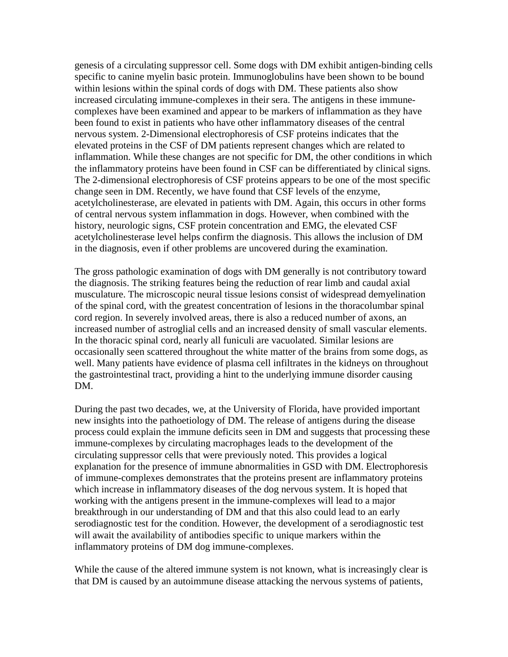genesis of a circulating suppressor cell. Some dogs with DM exhibit antigen-binding cells specific to canine myelin basic protein. Immunoglobulins have been shown to be bound within lesions within the spinal cords of dogs with DM. These patients also show increased circulating immune-complexes in their sera. The antigens in these immunecomplexes have been examined and appear to be markers of inflammation as they have been found to exist in patients who have other inflammatory diseases of the central nervous system. 2-Dimensional electrophoresis of CSF proteins indicates that the elevated proteins in the CSF of DM patients represent changes which are related to inflammation. While these changes are not specific for DM, the other conditions in which the inflammatory proteins have been found in CSF can be differentiated by clinical signs. The 2-dimensional electrophoresis of CSF proteins appears to be one of the most specific change seen in DM. Recently, we have found that CSF levels of the enzyme, acetylcholinesterase, are elevated in patients with DM. Again, this occurs in other forms of central nervous system inflammation in dogs. However, when combined with the history, neurologic signs, CSF protein concentration and EMG, the elevated CSF acetylcholinesterase level helps confirm the diagnosis. This allows the inclusion of DM in the diagnosis, even if other problems are uncovered during the examination.

The gross pathologic examination of dogs with DM generally is not contributory toward the diagnosis. The striking features being the reduction of rear limb and caudal axial musculature. The microscopic neural tissue lesions consist of widespread demyelination of the spinal cord, with the greatest concentration of lesions in the thoracolumbar spinal cord region. In severely involved areas, there is also a reduced number of axons, an increased number of astroglial cells and an increased density of small vascular elements. In the thoracic spinal cord, nearly all funiculi are vacuolated. Similar lesions are occasionally seen scattered throughout the white matter of the brains from some dogs, as well. Many patients have evidence of plasma cell infiltrates in the kidneys on throughout the gastrointestinal tract, providing a hint to the underlying immune disorder causing DM.

During the past two decades, we, at the University of Florida, have provided important new insights into the pathoetiology of DM. The release of antigens during the disease process could explain the immune deficits seen in DM and suggests that processing these immune-complexes by circulating macrophages leads to the development of the circulating suppressor cells that were previously noted. This provides a logical explanation for the presence of immune abnormalities in GSD with DM. Electrophoresis of immune-complexes demonstrates that the proteins present are inflammatory proteins which increase in inflammatory diseases of the dog nervous system. It is hoped that working with the antigens present in the immune-complexes will lead to a major breakthrough in our understanding of DM and that this also could lead to an early serodiagnostic test for the condition. However, the development of a serodiagnostic test will await the availability of antibodies specific to unique markers within the inflammatory proteins of DM dog immune-complexes.

While the cause of the altered immune system is not known, what is increasingly clear is that DM is caused by an autoimmune disease attacking the nervous systems of patients,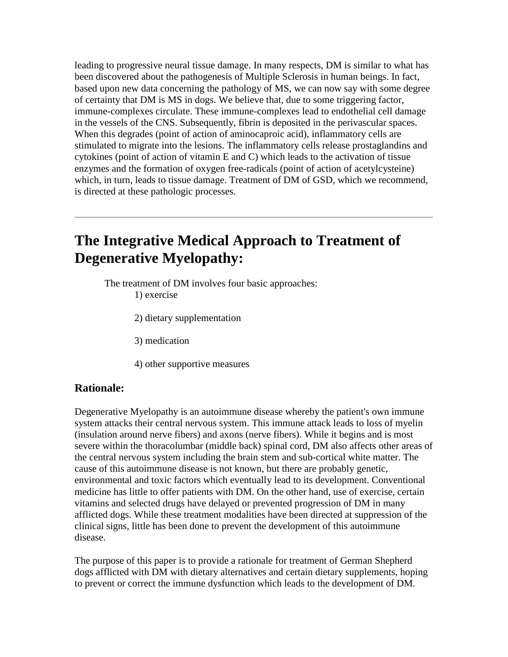leading to progressive neural tissue damage. In many respects, DM is similar to what has been discovered about the pathogenesis of Multiple Sclerosis in human beings. In fact, based upon new data concerning the pathology of MS, we can now say with some degree of certainty that DM is MS in dogs. We believe that, due to some triggering factor, immune-complexes circulate. These immune-complexes lead to endothelial cell damage in the vessels of the CNS. Subsequently, fibrin is deposited in the perivascular spaces. When this degrades (point of action of aminocaproic acid), inflammatory cells are stimulated to migrate into the lesions. The inflammatory cells release prostaglandins and cytokines (point of action of vitamin E and C) which leads to the activation of tissue enzymes and the formation of oxygen free-radicals (point of action of acetylcysteine) which, in turn, leads to tissue damage. Treatment of DM of GSD, which we recommend, is directed at these pathologic processes.

# **The Integrative Medical Approach to Treatment of Degenerative Myelopathy:**

The treatment of DM involves four basic approaches: 1) exercise

2) dietary supplementation

3) medication

4) other supportive measures

# **Rationale:**

Degenerative Myelopathy is an autoimmune disease whereby the patient's own immune system attacks their central nervous system. This immune attack leads to loss of myelin (insulation around nerve fibers) and axons (nerve fibers). While it begins and is most severe within the thoracolumbar (middle back) spinal cord, DM also affects other areas of the central nervous system including the brain stem and sub-cortical white matter. The cause of this autoimmune disease is not known, but there are probably genetic, environmental and toxic factors which eventually lead to its development. Conventional medicine has little to offer patients with DM. On the other hand, use of exercise, certain vitamins and selected drugs have delayed or prevented progression of DM in many afflicted dogs. While these treatment modalities have been directed at suppression of the clinical signs, little has been done to prevent the development of this autoimmune disease.

The purpose of this paper is to provide a rationale for treatment of German Shepherd dogs afflicted with DM with dietary alternatives and certain dietary supplements, hoping to prevent or correct the immune dysfunction which leads to the development of DM.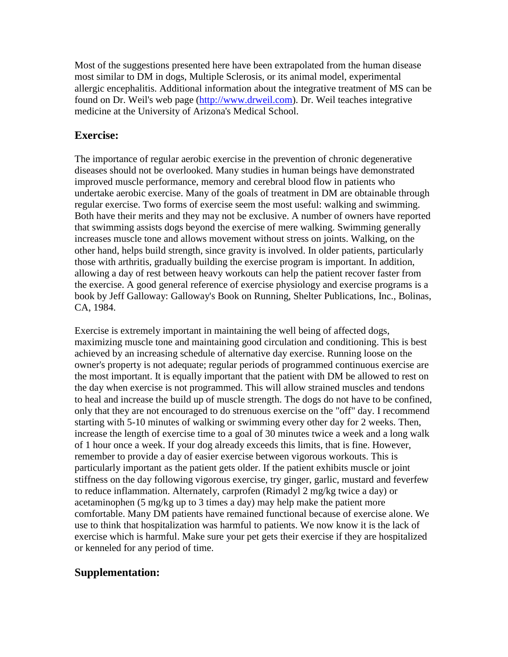Most of the suggestions presented here have been extrapolated from the human disease most similar to DM in dogs, Multiple Sclerosis, or its animal model, experimental allergic encephalitis. Additional information about the integrative treatment of MS can be found on Dr. Weil's web page [\(http://www.drweil.com\)](http://www.drweil.com/). Dr. Weil teaches integrative medicine at the University of Arizona's Medical School.

# **Exercise:**

The importance of regular aerobic exercise in the prevention of chronic degenerative diseases should not be overlooked. Many studies in human beings have demonstrated improved muscle performance, memory and cerebral blood flow in patients who undertake aerobic exercise. Many of the goals of treatment in DM are obtainable through regular exercise. Two forms of exercise seem the most useful: walking and swimming. Both have their merits and they may not be exclusive. A number of owners have reported that swimming assists dogs beyond the exercise of mere walking. Swimming generally increases muscle tone and allows movement without stress on joints. Walking, on the other hand, helps build strength, since gravity is involved. In older patients, particularly those with arthritis, gradually building the exercise program is important. In addition, allowing a day of rest between heavy workouts can help the patient recover faster from the exercise. A good general reference of exercise physiology and exercise programs is a book by Jeff Galloway: Galloway's Book on Running, Shelter Publications, Inc., Bolinas, CA, 1984.

Exercise is extremely important in maintaining the well being of affected dogs, maximizing muscle tone and maintaining good circulation and conditioning. This is best achieved by an increasing schedule of alternative day exercise. Running loose on the owner's property is not adequate; regular periods of programmed continuous exercise are the most important. It is equally important that the patient with DM be allowed to rest on the day when exercise is not programmed. This will allow strained muscles and tendons to heal and increase the build up of muscle strength. The dogs do not have to be confined, only that they are not encouraged to do strenuous exercise on the "off" day. I recommend starting with 5-10 minutes of walking or swimming every other day for 2 weeks. Then, increase the length of exercise time to a goal of 30 minutes twice a week and a long walk of 1 hour once a week. If your dog already exceeds this limits, that is fine. However, remember to provide a day of easier exercise between vigorous workouts. This is particularly important as the patient gets older. If the patient exhibits muscle or joint stiffness on the day following vigorous exercise, try ginger, garlic, mustard and feverfew to reduce inflammation. Alternately, carprofen (Rimadyl 2 mg/kg twice a day) or acetaminophen (5 mg/kg up to 3 times a day) may help make the patient more comfortable. Many DM patients have remained functional because of exercise alone. We use to think that hospitalization was harmful to patients. We now know it is the lack of exercise which is harmful. Make sure your pet gets their exercise if they are hospitalized or kenneled for any period of time.

# **Supplementation:**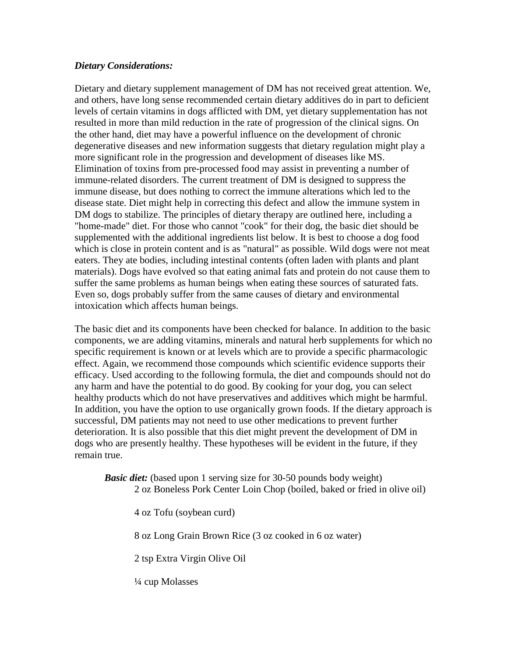### *Dietary Considerations:*

Dietary and dietary supplement management of DM has not received great attention. We, and others, have long sense recommended certain dietary additives do in part to deficient levels of certain vitamins in dogs afflicted with DM, yet dietary supplementation has not resulted in more than mild reduction in the rate of progression of the clinical signs. On the other hand, diet may have a powerful influence on the development of chronic degenerative diseases and new information suggests that dietary regulation might play a more significant role in the progression and development of diseases like MS. Elimination of toxins from pre-processed food may assist in preventing a number of immune-related disorders. The current treatment of DM is designed to suppress the immune disease, but does nothing to correct the immune alterations which led to the disease state. Diet might help in correcting this defect and allow the immune system in DM dogs to stabilize. The principles of dietary therapy are outlined here, including a "home-made" diet. For those who cannot "cook" for their dog, the basic diet should be supplemented with the additional ingredients list below. It is best to choose a dog food which is close in protein content and is as "natural" as possible. Wild dogs were not meat eaters. They ate bodies, including intestinal contents (often laden with plants and plant materials). Dogs have evolved so that eating animal fats and protein do not cause them to suffer the same problems as human beings when eating these sources of saturated fats. Even so, dogs probably suffer from the same causes of dietary and environmental intoxication which affects human beings.

The basic diet and its components have been checked for balance. In addition to the basic components, we are adding vitamins, minerals and natural herb supplements for which no specific requirement is known or at levels which are to provide a specific pharmacologic effect. Again, we recommend those compounds which scientific evidence supports their efficacy. Used according to the following formula, the diet and compounds should not do any harm and have the potential to do good. By cooking for your dog, you can select healthy products which do not have preservatives and additives which might be harmful. In addition, you have the option to use organically grown foods. If the dietary approach is successful, DM patients may not need to use other medications to prevent further deterioration. It is also possible that this diet might prevent the development of DM in dogs who are presently healthy. These hypotheses will be evident in the future, if they remain true.

*Basic diet:* (based upon 1 serving size for 30-50 pounds body weight) 2 oz Boneless Pork Center Loin Chop (boiled, baked or fried in olive oil)

4 oz Tofu (soybean curd)

8 oz Long Grain Brown Rice (3 oz cooked in 6 oz water)

2 tsp Extra Virgin Olive Oil

¼ cup Molasses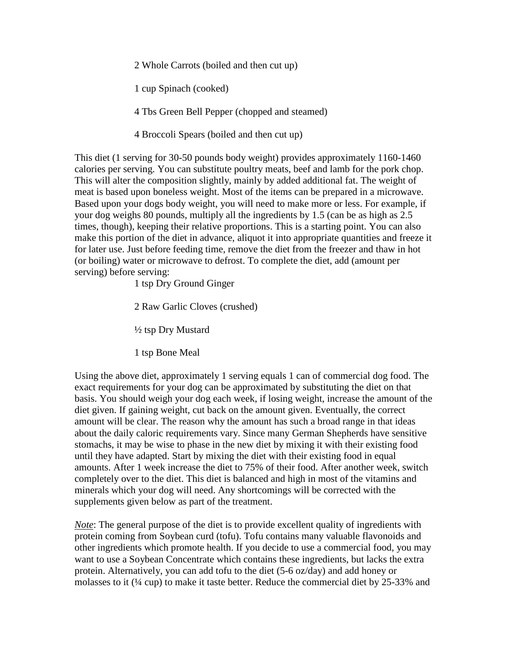2 Whole Carrots (boiled and then cut up)

1 cup Spinach (cooked)

4 Tbs Green Bell Pepper (chopped and steamed)

4 Broccoli Spears (boiled and then cut up)

This diet (1 serving for 30-50 pounds body weight) provides approximately 1160-1460 calories per serving. You can substitute poultry meats, beef and lamb for the pork chop. This will alter the composition slightly, mainly by added additional fat. The weight of meat is based upon boneless weight. Most of the items can be prepared in a microwave. Based upon your dogs body weight, you will need to make more or less. For example, if your dog weighs 80 pounds, multiply all the ingredients by 1.5 (can be as high as 2.5 times, though), keeping their relative proportions. This is a starting point. You can also make this portion of the diet in advance, aliquot it into appropriate quantities and freeze it for later use. Just before feeding time, remove the diet from the freezer and thaw in hot (or boiling) water or microwave to defrost. To complete the diet, add (amount per serving) before serving:

1 tsp Dry Ground Ginger

2 Raw Garlic Cloves (crushed)

½ tsp Dry Mustard

1 tsp Bone Meal

Using the above diet, approximately 1 serving equals 1 can of commercial dog food. The exact requirements for your dog can be approximated by substituting the diet on that basis. You should weigh your dog each week, if losing weight, increase the amount of the diet given. If gaining weight, cut back on the amount given. Eventually, the correct amount will be clear. The reason why the amount has such a broad range in that ideas about the daily caloric requirements vary. Since many German Shepherds have sensitive stomachs, it may be wise to phase in the new diet by mixing it with their existing food until they have adapted. Start by mixing the diet with their existing food in equal amounts. After 1 week increase the diet to 75% of their food. After another week, switch completely over to the diet. This diet is balanced and high in most of the vitamins and minerals which your dog will need. Any shortcomings will be corrected with the supplements given below as part of the treatment.

*Note*: The general purpose of the diet is to provide excellent quality of ingredients with protein coming from Soybean curd (tofu). Tofu contains many valuable flavonoids and other ingredients which promote health. If you decide to use a commercial food, you may want to use a Soybean Concentrate which contains these ingredients, but lacks the extra protein. Alternatively, you can add tofu to the diet (5-6 oz/day) and add honey or molasses to it (¼ cup) to make it taste better. Reduce the commercial diet by 25-33% and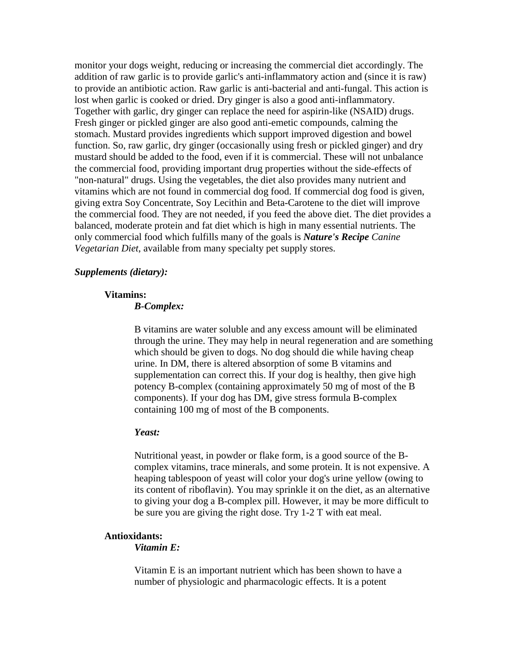monitor your dogs weight, reducing or increasing the commercial diet accordingly. The addition of raw garlic is to provide garlic's anti-inflammatory action and (since it is raw) to provide an antibiotic action. Raw garlic is anti-bacterial and anti-fungal. This action is lost when garlic is cooked or dried. Dry ginger is also a good anti-inflammatory. Together with garlic, dry ginger can replace the need for aspirin-like (NSAID) drugs. Fresh ginger or pickled ginger are also good anti-emetic compounds, calming the stomach. Mustard provides ingredients which support improved digestion and bowel function. So, raw garlic, dry ginger (occasionally using fresh or pickled ginger) and dry mustard should be added to the food, even if it is commercial. These will not unbalance the commercial food, providing important drug properties without the side-effects of "non-natural" drugs. Using the vegetables, the diet also provides many nutrient and vitamins which are not found in commercial dog food. If commercial dog food is given, giving extra Soy Concentrate, Soy Lecithin and Beta-Carotene to the diet will improve the commercial food. They are not needed, if you feed the above diet. The diet provides a balanced, moderate protein and fat diet which is high in many essential nutrients. The only commercial food which fulfills many of the goals is *Nature's Recipe Canine Vegetarian Diet*, available from many specialty pet supply stores.

#### *Supplements (dietary):*

#### **Vitamins:**

#### *B-Complex:*

B vitamins are water soluble and any excess amount will be eliminated through the urine. They may help in neural regeneration and are something which should be given to dogs. No dog should die while having cheap urine. In DM, there is altered absorption of some B vitamins and supplementation can correct this. If your dog is healthy, then give high potency B-complex (containing approximately 50 mg of most of the B components). If your dog has DM, give stress formula B-complex containing 100 mg of most of the B components.

#### *Yeast:*

Nutritional yeast, in powder or flake form, is a good source of the Bcomplex vitamins, trace minerals, and some protein. It is not expensive. A heaping tablespoon of yeast will color your dog's urine yellow (owing to its content of riboflavin). You may sprinkle it on the diet, as an alternative to giving your dog a B-complex pill. However, it may be more difficult to be sure you are giving the right dose. Try 1-2 T with eat meal.

#### **Antioxidants:**

#### *Vitamin E:*

Vitamin E is an important nutrient which has been shown to have a number of physiologic and pharmacologic effects. It is a potent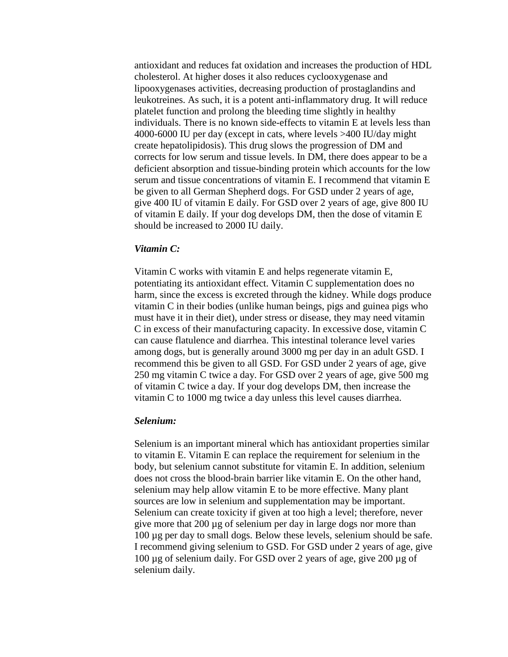antioxidant and reduces fat oxidation and increases the production of HDL cholesterol. At higher doses it also reduces cyclooxygenase and lipooxygenases activities, decreasing production of prostaglandins and leukotreines. As such, it is a potent anti-inflammatory drug. It will reduce platelet function and prolong the bleeding time slightly in healthy individuals. There is no known side-effects to vitamin E at levels less than 4000-6000 IU per day (except in cats, where levels >400 IU/day might create hepatolipidosis). This drug slows the progression of DM and corrects for low serum and tissue levels. In DM, there does appear to be a deficient absorption and tissue-binding protein which accounts for the low serum and tissue concentrations of vitamin E. I recommend that vitamin E be given to all German Shepherd dogs. For GSD under 2 years of age, give 400 IU of vitamin E daily. For GSD over 2 years of age, give 800 IU of vitamin E daily. If your dog develops DM, then the dose of vitamin E should be increased to 2000 IU daily.

#### *Vitamin C:*

Vitamin C works with vitamin E and helps regenerate vitamin E, potentiating its antioxidant effect. Vitamin C supplementation does no harm, since the excess is excreted through the kidney. While dogs produce vitamin C in their bodies (unlike human beings, pigs and guinea pigs who must have it in their diet), under stress or disease, they may need vitamin C in excess of their manufacturing capacity. In excessive dose, vitamin C can cause flatulence and diarrhea. This intestinal tolerance level varies among dogs, but is generally around 3000 mg per day in an adult GSD. I recommend this be given to all GSD. For GSD under 2 years of age, give 250 mg vitamin C twice a day. For GSD over 2 years of age, give 500 mg of vitamin C twice a day. If your dog develops DM, then increase the vitamin C to 1000 mg twice a day unless this level causes diarrhea.

#### *Selenium:*

Selenium is an important mineral which has antioxidant properties similar to vitamin E. Vitamin E can replace the requirement for selenium in the body, but selenium cannot substitute for vitamin E. In addition, selenium does not cross the blood-brain barrier like vitamin E. On the other hand, selenium may help allow vitamin E to be more effective. Many plant sources are low in selenium and supplementation may be important. Selenium can create toxicity if given at too high a level; therefore, never give more that 200 µg of selenium per day in large dogs nor more than 100 µg per day to small dogs. Below these levels, selenium should be safe. I recommend giving selenium to GSD. For GSD under 2 years of age, give 100 µg of selenium daily. For GSD over 2 years of age, give 200 µg of selenium daily.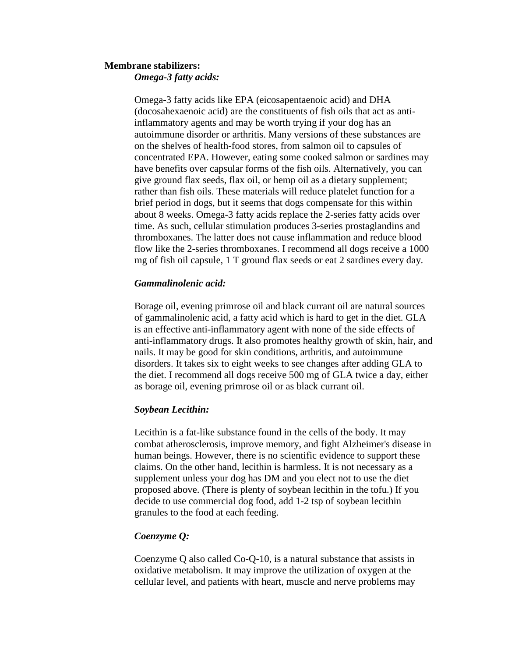#### **Membrane stabilizers:** *Omega-3 fatty acids:*

Omega-3 fatty acids like EPA (eicosapentaenoic acid) and DHA (docosahexaenoic acid) are the constituents of fish oils that act as antiinflammatory agents and may be worth trying if your dog has an autoimmune disorder or arthritis. Many versions of these substances are on the shelves of health-food stores, from salmon oil to capsules of concentrated EPA. However, eating some cooked salmon or sardines may have benefits over capsular forms of the fish oils. Alternatively, you can give ground flax seeds, flax oil, or hemp oil as a dietary supplement; rather than fish oils. These materials will reduce platelet function for a brief period in dogs, but it seems that dogs compensate for this within about 8 weeks. Omega-3 fatty acids replace the 2-series fatty acids over time. As such, cellular stimulation produces 3-series prostaglandins and thromboxanes. The latter does not cause inflammation and reduce blood flow like the 2-series thromboxanes. I recommend all dogs receive a 1000 mg of fish oil capsule, 1 T ground flax seeds or eat 2 sardines every day.

### *Gammalinolenic acid:*

Borage oil, evening primrose oil and black currant oil are natural sources of gammalinolenic acid, a fatty acid which is hard to get in the diet. GLA is an effective anti-inflammatory agent with none of the side effects of anti-inflammatory drugs. It also promotes healthy growth of skin, hair, and nails. It may be good for skin conditions, arthritis, and autoimmune disorders. It takes six to eight weeks to see changes after adding GLA to the diet. I recommend all dogs receive 500 mg of GLA twice a day, either as borage oil, evening primrose oil or as black currant oil.

# *Soybean Lecithin:*

Lecithin is a fat-like substance found in the cells of the body. It may combat atherosclerosis, improve memory, and fight Alzheimer's disease in human beings. However, there is no scientific evidence to support these claims. On the other hand, lecithin is harmless. It is not necessary as a supplement unless your dog has DM and you elect not to use the diet proposed above. (There is plenty of soybean lecithin in the tofu.) If you decide to use commercial dog food, add 1-2 tsp of soybean lecithin granules to the food at each feeding.

# *Coenzyme Q:*

Coenzyme Q also called Co-Q-10, is a natural substance that assists in oxidative metabolism. It may improve the utilization of oxygen at the cellular level, and patients with heart, muscle and nerve problems may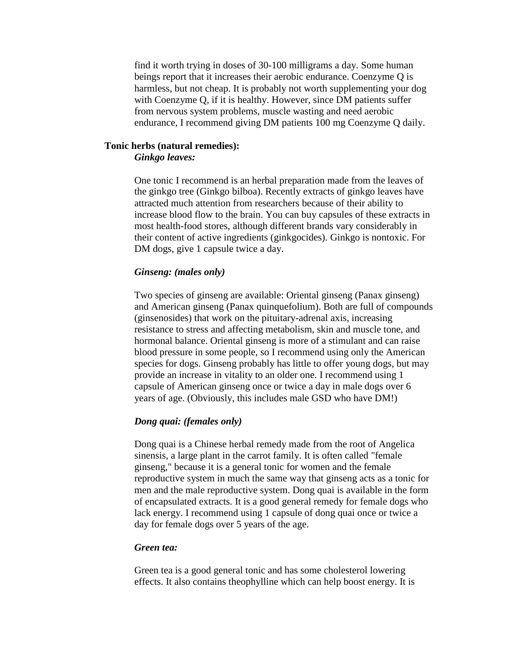find it worth trying in doses of 30-100 milligrams a day. Some human beings report that it increases their aerobic endurance. Coenzyme Q is harmless, but not cheap. It is probably not worth supplementing your dog with Coenzyme Q, if it is healthy. However, since DM patients suffer from nervous system problems, muscle wasting and need aerobic endurance, I recommend giving DM patients 100 mg Coenzyme Q daily.

#### **Tonic herbs (natural remedies):** *Ginkgo leaves:*

One tonic I recommend is an herbal preparation made from the leaves of the ginkgo tree (Ginkgo bilboa). Recently extracts of ginkgo leaves have attracted much attention from researchers because of their ability to increase blood flow to the brain. You can buy capsules of these extracts in most health-food stores, although different brands vary considerably in their content of active ingredients (ginkgocides). Ginkgo is nontoxic. For DM dogs, give 1 capsule twice a day.

#### *Ginseng: (males only)*

Two species of ginseng are available: Oriental ginseng (Panax ginseng) and American ginseng (Panax quinquefolium). Both are full of compounds (ginsenosides) that work on the pituitary-adrenal axis, increasing resistance to stress and affecting metabolism, skin and muscle tone, and hormonal balance. Oriental ginseng is more of a stimulant and can raise blood pressure in some people, so I recommend using only the American species for dogs. Ginseng probably has little to offer young dogs, but may provide an increase in vitality to an older one. I recommend using 1 capsule of American ginseng once or twice a day in male dogs over 6 years of age. (Obviously, this includes male GSD who have DM!)

#### *Dong quai: (females only)*

Dong quai is a Chinese herbal remedy made from the root of Angelica sinensis, a large plant in the carrot family. It is often called "female ginseng," because it is a general tonic for women and the female reproductive system in much the same way that ginseng acts as a tonic for men and the male reproductive system. Dong quai is available in the form of encapsulated extracts. It is a good general remedy for female dogs who lack energy. I recommend using 1 capsule of dong quai once or twice a day for female dogs over 5 years of the age.

#### *Green tea:*

Green tea is a good general tonic and has some cholesterol lowering effects. It also contains theophylline which can help boost energy. It is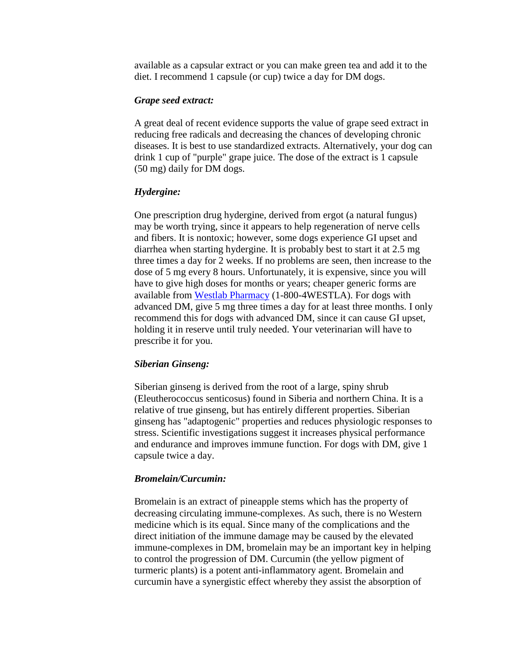available as a capsular extract or you can make green tea and add it to the diet. I recommend 1 capsule (or cup) twice a day for DM dogs.

#### *Grape seed extract:*

A great deal of recent evidence supports the value of grape seed extract in reducing free radicals and decreasing the chances of developing chronic diseases. It is best to use standardized extracts. Alternatively, your dog can drink 1 cup of "purple" grape juice. The dose of the extract is 1 capsule (50 mg) daily for DM dogs.

#### *Hydergine:*

One prescription drug hydergine, derived from ergot (a natural fungus) may be worth trying, since it appears to help regeneration of nerve cells and fibers. It is nontoxic; however, some dogs experience GI upset and diarrhea when starting hydergine. It is probably best to start it at 2.5 mg three times a day for 2 weeks. If no problems are seen, then increase to the dose of 5 mg every 8 hours. Unfortunately, it is expensive, since you will have to give high doses for months or years; cheaper generic forms are available from [Westlab Pharmacy](http://www.westlabpharmacy.com/) (1-800-4WESTLA). For dogs with advanced DM, give 5 mg three times a day for at least three months. I only recommend this for dogs with advanced DM, since it can cause GI upset, holding it in reserve until truly needed. Your veterinarian will have to prescribe it for you.

#### *Siberian Ginseng:*

Siberian ginseng is derived from the root of a large, spiny shrub (Eleutherococcus senticosus) found in Siberia and northern China. It is a relative of true ginseng, but has entirely different properties. Siberian ginseng has "adaptogenic" properties and reduces physiologic responses to stress. Scientific investigations suggest it increases physical performance and endurance and improves immune function. For dogs with DM, give 1 capsule twice a day.

#### *Bromelain/Curcumin:*

Bromelain is an extract of pineapple stems which has the property of decreasing circulating immune-complexes. As such, there is no Western medicine which is its equal. Since many of the complications and the direct initiation of the immune damage may be caused by the elevated immune-complexes in DM, bromelain may be an important key in helping to control the progression of DM. Curcumin (the yellow pigment of turmeric plants) is a potent anti-inflammatory agent. Bromelain and curcumin have a synergistic effect whereby they assist the absorption of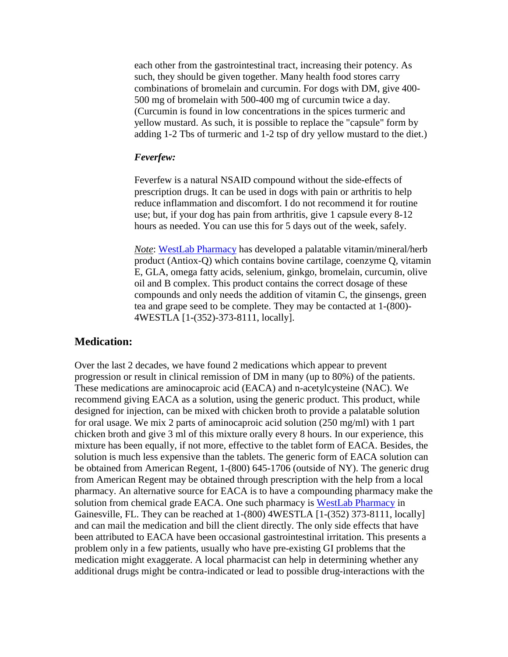each other from the gastrointestinal tract, increasing their potency. As such, they should be given together. Many health food stores carry combinations of bromelain and curcumin. For dogs with DM, give 400- 500 mg of bromelain with 500-400 mg of curcumin twice a day. (Curcumin is found in low concentrations in the spices turmeric and yellow mustard. As such, it is possible to replace the "capsule" form by adding 1-2 Tbs of turmeric and 1-2 tsp of dry yellow mustard to the diet.)

#### *Feverfew:*

Feverfew is a natural NSAID compound without the side-effects of prescription drugs. It can be used in dogs with pain or arthritis to help reduce inflammation and discomfort. I do not recommend it for routine use; but, if your dog has pain from arthritis, give 1 capsule every 8-12 hours as needed. You can use this for 5 days out of the week, safely.

*Note*: [WestLab Pharmacy](http://www.westlabpharmacy.com/) has developed a palatable vitamin/mineral/herb product (Antiox-Q) which contains bovine cartilage, coenzyme Q, vitamin E, GLA, omega fatty acids, selenium, ginkgo, bromelain, curcumin, olive oil and B complex. This product contains the correct dosage of these compounds and only needs the addition of vitamin C, the ginsengs, green tea and grape seed to be complete. They may be contacted at 1-(800)- 4WESTLA [1-(352)-373-8111, locally].

#### **Medication:**

Over the last 2 decades, we have found 2 medications which appear to prevent progression or result in clinical remission of DM in many (up to 80%) of the patients. These medications are aminocaproic acid (EACA) and n-acetylcysteine (NAC). We recommend giving EACA as a solution, using the generic product. This product, while designed for injection, can be mixed with chicken broth to provide a palatable solution for oral usage. We mix 2 parts of aminocaproic acid solution (250 mg/ml) with 1 part chicken broth and give 3 ml of this mixture orally every 8 hours. In our experience, this mixture has been equally, if not more, effective to the tablet form of EACA. Besides, the solution is much less expensive than the tablets. The generic form of EACA solution can be obtained from American Regent, 1-(800) 645-1706 (outside of NY). The generic drug from American Regent may be obtained through prescription with the help from a local pharmacy. An alternative source for EACA is to have a compounding pharmacy make the solution from chemical grade EACA. One such pharmacy is [WestLab Pharmacy](http://www.westlabpharmacy.com/) in Gainesville, FL. They can be reached at 1-(800) 4WESTLA [1-(352) 373-8111, locally] and can mail the medication and bill the client directly. The only side effects that have been attributed to EACA have been occasional gastrointestinal irritation. This presents a problem only in a few patients, usually who have pre-existing GI problems that the medication might exaggerate. A local pharmacist can help in determining whether any additional drugs might be contra-indicated or lead to possible drug-interactions with the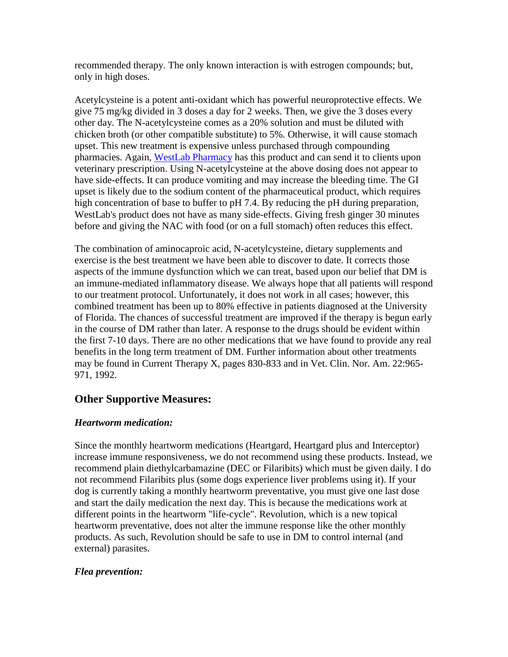recommended therapy. The only known interaction is with estrogen compounds; but, only in high doses.

Acetylcysteine is a potent anti-oxidant which has powerful neuroprotective effects. We give 75 mg/kg divided in 3 doses a day for 2 weeks. Then, we give the 3 doses every other day. The N-acetylcysteine comes as a 20% solution and must be diluted with chicken broth (or other compatible substitute) to 5%. Otherwise, it will cause stomach upset. This new treatment is expensive unless purchased through compounding pharmacies. Again, [WestLab Pharmacy](http://www.westlabpharmacy.com/) has this product and can send it to clients upon veterinary prescription. Using N-acetylcysteine at the above dosing does not appear to have side-effects. It can produce vomiting and may increase the bleeding time. The GI upset is likely due to the sodium content of the pharmaceutical product, which requires high concentration of base to buffer to pH 7.4. By reducing the pH during preparation, WestLab's product does not have as many side-effects. Giving fresh ginger 30 minutes before and giving the NAC with food (or on a full stomach) often reduces this effect.

The combination of aminocaproic acid, N-acetylcysteine, dietary supplements and exercise is the best treatment we have been able to discover to date. It corrects those aspects of the immune dysfunction which we can treat, based upon our belief that DM is an immune-mediated inflammatory disease. We always hope that all patients will respond to our treatment protocol. Unfortunately, it does not work in all cases; however, this combined treatment has been up to 80% effective in patients diagnosed at the University of Florida. The chances of successful treatment are improved if the therapy is begun early in the course of DM rather than later. A response to the drugs should be evident within the first 7-10 days. There are no other medications that we have found to provide any real benefits in the long term treatment of DM. Further information about other treatments may be found in Current Therapy X, pages 830-833 and in Vet. Clin. Nor. Am. 22:965- 971, 1992.

# **Other Supportive Measures:**

# *Heartworm medication:*

Since the monthly heartworm medications (Heartgard, Heartgard plus and Interceptor) increase immune responsiveness, we do not recommend using these products. Instead, we recommend plain diethylcarbamazine (DEC or Filaribits) which must be given daily. I do not recommend Filaribits plus (some dogs experience liver problems using it). If your dog is currently taking a monthly heartworm preventative, you must give one last dose and start the daily medication the next day. This is because the medications work at different points in the heartworm "life-cycle". Revolution, which is a new topical heartworm preventative, does not alter the immune response like the other monthly products. As such, Revolution should be safe to use in DM to control internal (and external) parasites.

# *Flea prevention:*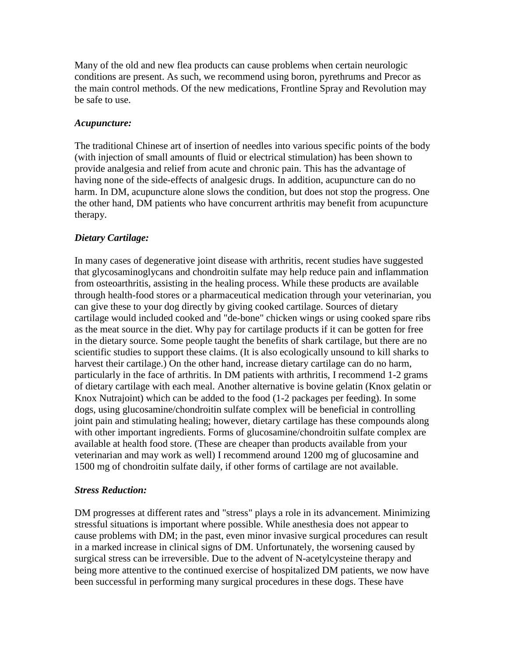Many of the old and new flea products can cause problems when certain neurologic conditions are present. As such, we recommend using boron, pyrethrums and Precor as the main control methods. Of the new medications, Frontline Spray and Revolution may be safe to use.

### *Acupuncture:*

The traditional Chinese art of insertion of needles into various specific points of the body (with injection of small amounts of fluid or electrical stimulation) has been shown to provide analgesia and relief from acute and chronic pain. This has the advantage of having none of the side-effects of analgesic drugs. In addition, acupuncture can do no harm. In DM, acupuncture alone slows the condition, but does not stop the progress. One the other hand, DM patients who have concurrent arthritis may benefit from acupuncture therapy.

# *Dietary Cartilage:*

In many cases of degenerative joint disease with arthritis, recent studies have suggested that glycosaminoglycans and chondroitin sulfate may help reduce pain and inflammation from osteoarthritis, assisting in the healing process. While these products are available through health-food stores or a pharmaceutical medication through your veterinarian, you can give these to your dog directly by giving cooked cartilage. Sources of dietary cartilage would included cooked and "de-bone" chicken wings or using cooked spare ribs as the meat source in the diet. Why pay for cartilage products if it can be gotten for free in the dietary source. Some people taught the benefits of shark cartilage, but there are no scientific studies to support these claims. (It is also ecologically unsound to kill sharks to harvest their cartilage.) On the other hand, increase dietary cartilage can do no harm, particularly in the face of arthritis. In DM patients with arthritis, I recommend 1-2 grams of dietary cartilage with each meal. Another alternative is bovine gelatin (Knox gelatin or Knox Nutrajoint) which can be added to the food (1-2 packages per feeding). In some dogs, using glucosamine/chondroitin sulfate complex will be beneficial in controlling joint pain and stimulating healing; however, dietary cartilage has these compounds along with other important ingredients. Forms of glucosamine/chondroitin sulfate complex are available at health food store. (These are cheaper than products available from your veterinarian and may work as well) I recommend around 1200 mg of glucosamine and 1500 mg of chondroitin sulfate daily, if other forms of cartilage are not available.

# *Stress Reduction:*

DM progresses at different rates and "stress" plays a role in its advancement. Minimizing stressful situations is important where possible. While anesthesia does not appear to cause problems with DM; in the past, even minor invasive surgical procedures can result in a marked increase in clinical signs of DM. Unfortunately, the worsening caused by surgical stress can be irreversible. Due to the advent of N-acetylcysteine therapy and being more attentive to the continued exercise of hospitalized DM patients, we now have been successful in performing many surgical procedures in these dogs. These have